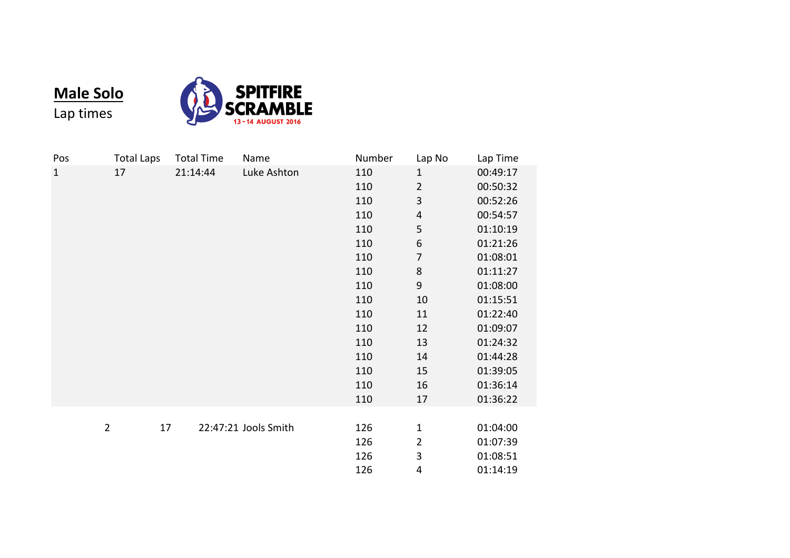

**Male Solo** Lap times

| Pos            | <b>Total Laps</b> | <b>Total Time</b> | Name                 | Number | Lap No                  | Lap Time |
|----------------|-------------------|-------------------|----------------------|--------|-------------------------|----------|
| $\mathbf{1}$   | 17                | 21:14:44          | Luke Ashton          | 110    | $\mathbf{1}$            | 00:49:17 |
|                |                   |                   |                      | 110    | $\overline{2}$          | 00:50:32 |
|                |                   |                   |                      | 110    | 3                       | 00:52:26 |
|                |                   |                   |                      | 110    | $\overline{4}$          | 00:54:57 |
|                |                   |                   |                      | 110    | 5                       | 01:10:19 |
|                |                   |                   |                      | 110    | 6                       | 01:21:26 |
|                |                   |                   |                      | 110    | $\overline{7}$          | 01:08:01 |
|                |                   |                   |                      | 110    | 8                       | 01:11:27 |
|                |                   |                   |                      | 110    | $\boldsymbol{9}$        | 01:08:00 |
|                |                   |                   |                      | 110    | $10\,$                  | 01:15:51 |
|                |                   |                   |                      | 110    | 11                      | 01:22:40 |
|                |                   |                   |                      | 110    | 12                      | 01:09:07 |
|                |                   |                   |                      | 110    | 13                      | 01:24:32 |
|                |                   |                   |                      | 110    | 14                      | 01:44:28 |
|                |                   |                   |                      | 110    | 15                      | 01:39:05 |
|                |                   |                   |                      | 110    | 16                      | 01:36:14 |
|                |                   |                   |                      | 110    | 17                      | 01:36:22 |
|                |                   |                   |                      |        |                         |          |
| $\overline{2}$ | 17                |                   | 22:47:21 Jools Smith | 126    | $\mathbf 1$             | 01:04:00 |
|                |                   |                   |                      | 126    | $\overline{\mathbf{c}}$ | 01:07:39 |
|                |                   |                   |                      | 126    | 3                       | 01:08:51 |
|                |                   |                   |                      | 126    | 4                       | 01:14:19 |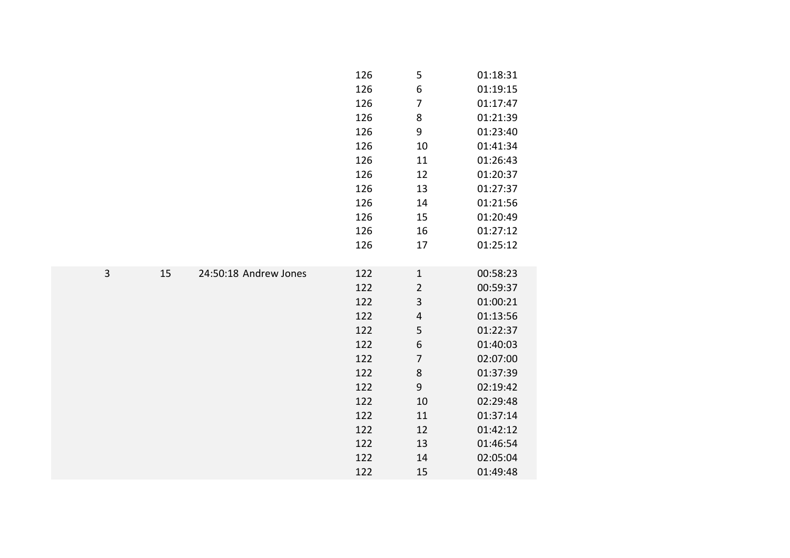|                |    |                       | 126 | 5                       | 01:18:31 |
|----------------|----|-----------------------|-----|-------------------------|----------|
|                |    |                       | 126 | $\boldsymbol{6}$        | 01:19:15 |
|                |    |                       | 126 | $\overline{7}$          | 01:17:47 |
|                |    |                       | 126 | 8                       | 01:21:39 |
|                |    |                       | 126 | 9                       | 01:23:40 |
|                |    |                       | 126 | 10                      | 01:41:34 |
|                |    |                       | 126 | 11                      | 01:26:43 |
|                |    |                       | 126 | 12                      | 01:20:37 |
|                |    |                       | 126 | 13                      | 01:27:37 |
|                |    |                       | 126 | 14                      | 01:21:56 |
|                |    |                       | 126 | 15                      | 01:20:49 |
|                |    |                       | 126 | 16                      | 01:27:12 |
|                |    |                       | 126 | 17                      | 01:25:12 |
|                |    |                       |     |                         |          |
| $\overline{3}$ | 15 | 24:50:18 Andrew Jones | 122 | $\mathbf 1$             | 00:58:23 |
|                |    |                       | 122 | $\overline{c}$          | 00:59:37 |
|                |    |                       | 122 | 3                       | 01:00:21 |
|                |    |                       | 122 | $\overline{\mathbf{r}}$ | 01:13:56 |
|                |    |                       | 122 | 5                       | 01:22:37 |
|                |    |                       | 122 | $\,$ 6 $\,$             | 01:40:03 |
|                |    |                       | 122 | $\overline{7}$          | 02:07:00 |
|                |    |                       | 122 | 8                       | 01:37:39 |
|                |    |                       | 122 | $\boldsymbol{9}$        | 02:19:42 |
|                |    |                       | 122 | 10                      | 02:29:48 |
|                |    |                       | 122 | 11                      | 01:37:14 |
|                |    |                       | 122 | 12                      | 01:42:12 |
|                |    |                       | 122 | 13                      | 01:46:54 |
|                |    |                       | 122 | 14                      | 02:05:04 |
|                |    |                       | 122 | 15                      | 01:49:48 |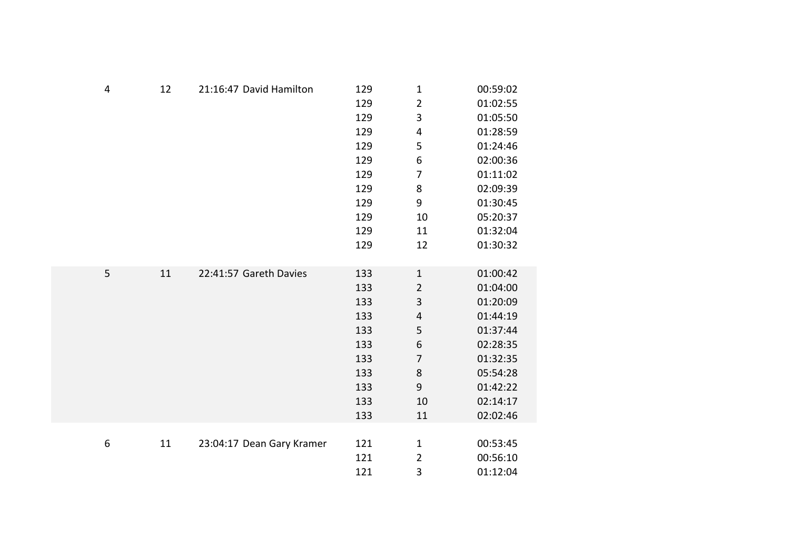| $\overline{4}$ | 12 | 21:16:47 David Hamilton   | 129 | $\mathbf{1}$     | 00:59:02 |
|----------------|----|---------------------------|-----|------------------|----------|
|                |    |                           | 129 | $\overline{2}$   | 01:02:55 |
|                |    |                           | 129 | 3                | 01:05:50 |
|                |    |                           | 129 | 4                | 01:28:59 |
|                |    |                           | 129 | 5                | 01:24:46 |
|                |    |                           | 129 | $\boldsymbol{6}$ | 02:00:36 |
|                |    |                           | 129 | 7                | 01:11:02 |
|                |    |                           | 129 | 8                | 02:09:39 |
|                |    |                           | 129 | 9                | 01:30:45 |
|                |    |                           | 129 | 10               | 05:20:37 |
|                |    |                           | 129 | 11               | 01:32:04 |
|                |    |                           | 129 | 12               | 01:30:32 |
|                |    |                           |     |                  |          |
| 5              | 11 | 22:41:57 Gareth Davies    | 133 | $\mathbf 1$      | 01:00:42 |
|                |    |                           | 133 | $\overline{2}$   | 01:04:00 |
|                |    |                           | 133 | 3                | 01:20:09 |
|                |    |                           | 133 | $\pmb{4}$        | 01:44:19 |
|                |    |                           | 133 | 5                | 01:37:44 |
|                |    |                           | 133 | $\boldsymbol{6}$ | 02:28:35 |
|                |    |                           | 133 | $\overline{7}$   | 01:32:35 |
|                |    |                           | 133 | 8                | 05:54:28 |
|                |    |                           | 133 | 9                | 01:42:22 |
|                |    |                           | 133 | 10               | 02:14:17 |
|                |    |                           | 133 | 11               | 02:02:46 |
|                |    |                           |     |                  |          |
| 6              | 11 | 23:04:17 Dean Gary Kramer | 121 | $\mathbf 1$      | 00:53:45 |
|                |    |                           | 121 | $\overline{2}$   | 00:56:10 |
|                |    |                           | 121 | 3                | 01:12:04 |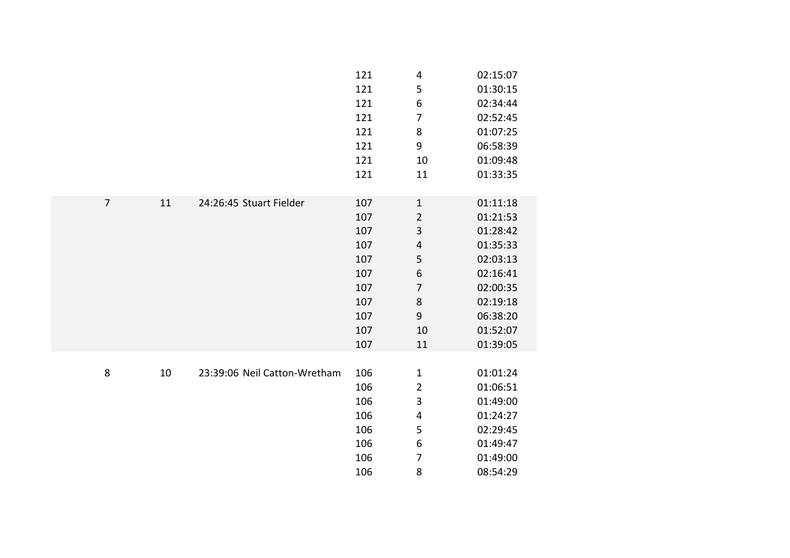|                |    |                              | 121 | $\overline{4}$          | 02:15:07 |
|----------------|----|------------------------------|-----|-------------------------|----------|
|                |    |                              | 121 | 5                       | 01:30:15 |
|                |    |                              | 121 | 6                       | 02:34:44 |
|                |    |                              | 121 | 7                       | 02:52:45 |
|                |    |                              | 121 | 8                       | 01:07:25 |
|                |    |                              | 121 | 9                       | 06:58:39 |
|                |    |                              | 121 | 10                      | 01:09:48 |
|                |    |                              | 121 | 11                      | 01:33:35 |
|                |    |                              |     |                         |          |
| $\overline{7}$ | 11 | 24:26:45 Stuart Fielder      | 107 | $\mathbf{1}$            | 01:11:18 |
|                |    |                              | 107 | $\overline{2}$          | 01:21:53 |
|                |    |                              | 107 | 3                       | 01:28:42 |
|                |    |                              | 107 | $\sqrt{4}$              | 01:35:33 |
|                |    |                              | 107 | 5                       | 02:03:13 |
|                |    |                              | 107 | $\boldsymbol{6}$        | 02:16:41 |
|                |    |                              | 107 | $\overline{7}$          | 02:00:35 |
|                |    |                              | 107 | 8                       | 02:19:18 |
|                |    |                              | 107 | $\boldsymbol{9}$        | 06:38:20 |
|                |    |                              | 107 | 10                      | 01:52:07 |
|                |    |                              | 107 | 11                      | 01:39:05 |
|                |    |                              |     |                         |          |
| 8              | 10 | 23:39:06 Neil Catton-Wretham | 106 | $\mathbf{1}$            | 01:01:24 |
|                |    |                              | 106 | $\overline{2}$          | 01:06:51 |
|                |    |                              | 106 | 3                       | 01:49:00 |
|                |    |                              | 106 | $\overline{\mathbf{4}}$ | 01:24:27 |
|                |    |                              | 106 | 5                       | 02:29:45 |
|                |    |                              | 106 | 6                       | 01:49:47 |
|                |    |                              | 106 | $\overline{7}$          | 01:49:00 |
|                |    |                              | 106 | 8                       | 08:54:29 |
|                |    |                              |     |                         |          |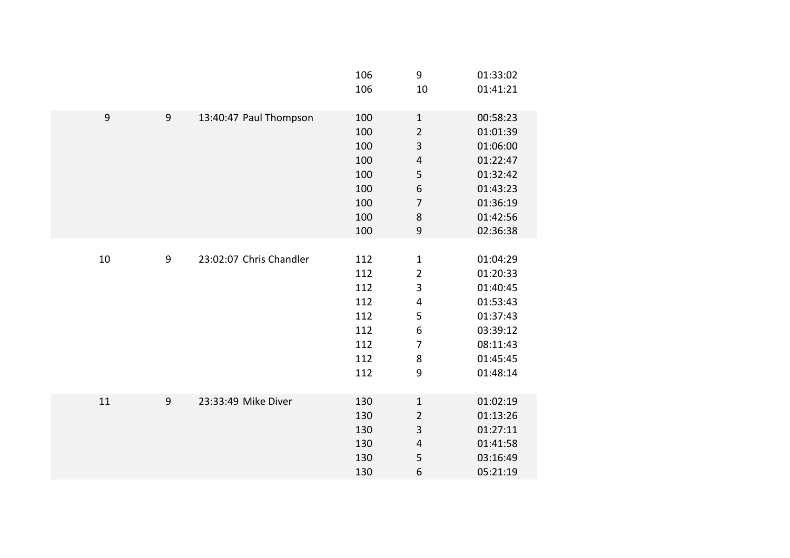|    |                |                         | 106<br>106                                                  | $\boldsymbol{9}$<br>10                                                                                                             | 01:33:02<br>01:41:21                                                                                     |
|----|----------------|-------------------------|-------------------------------------------------------------|------------------------------------------------------------------------------------------------------------------------------------|----------------------------------------------------------------------------------------------------------|
| 9  | $\overline{9}$ | 13:40:47 Paul Thompson  | 100<br>100<br>100<br>100<br>100<br>100<br>100<br>100<br>100 | $\mathbf 1$<br>$\overline{2}$<br>3<br>$\overline{\mathbf{r}}$<br>5<br>$\,$ 6 $\,$<br>$\overline{7}$<br>$\bf 8$<br>$\boldsymbol{9}$ | 00:58:23<br>01:01:39<br>01:06:00<br>01:22:47<br>01:32:42<br>01:43:23<br>01:36:19<br>01:42:56<br>02:36:38 |
| 10 | $9\,$          | 23:02:07 Chris Chandler | 112<br>112<br>112<br>112<br>112<br>112<br>112<br>112<br>112 | $\mathbf 1$<br>$\overline{2}$<br>3<br>$\overline{\mathbf{4}}$<br>5<br>6<br>$\overline{7}$<br>8<br>9                                | 01:04:29<br>01:20:33<br>01:40:45<br>01:53:43<br>01:37:43<br>03:39:12<br>08:11:43<br>01:45:45<br>01:48:14 |
| 11 | $9$            | 23:33:49 Mike Diver     | 130<br>130<br>130<br>130<br>130<br>130                      | $\mathbf 1$<br>$\overline{2}$<br>3<br>$\overline{\mathbf{r}}$<br>5<br>6                                                            | 01:02:19<br>01:13:26<br>01:27:11<br>01:41:58<br>03:16:49<br>05:21:19                                     |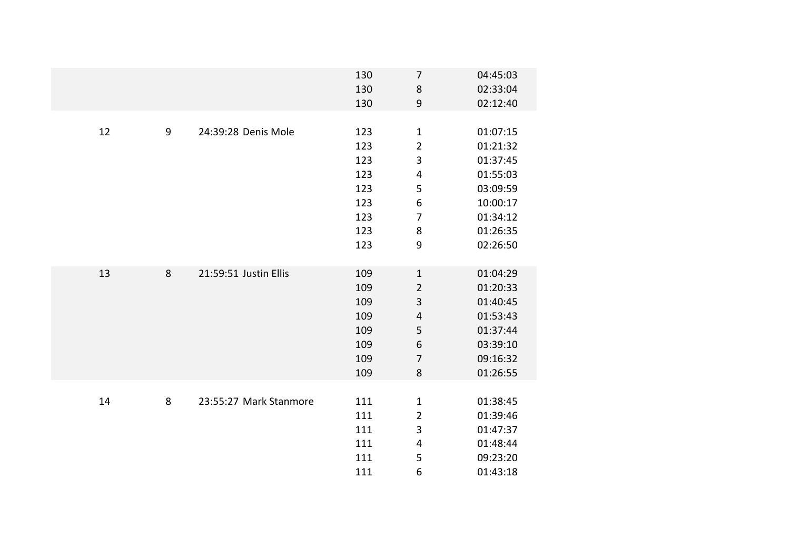|    |                  |                        | 130<br>130 | $\overline{7}$<br>$\bf 8$ | 04:45:03<br>02:33:04 |
|----|------------------|------------------------|------------|---------------------------|----------------------|
|    |                  |                        |            | 9                         |                      |
|    |                  |                        | 130        |                           | 02:12:40             |
| 12 | $\boldsymbol{9}$ | 24:39:28 Denis Mole    | 123        | $\mathbf{1}$              | 01:07:15             |
|    |                  |                        | 123        | $\overline{2}$            | 01:21:32             |
|    |                  |                        | 123        | 3                         | 01:37:45             |
|    |                  |                        | 123        | $\pmb{4}$                 | 01:55:03             |
|    |                  |                        | 123        | 5                         | 03:09:59             |
|    |                  |                        | 123        | $\boldsymbol{6}$          | 10:00:17             |
|    |                  |                        | 123        | $\overline{7}$            | 01:34:12             |
|    |                  |                        | 123        | 8                         | 01:26:35             |
|    |                  |                        | 123        | 9                         | 02:26:50             |
|    |                  |                        |            |                           |                      |
| 13 | 8                | 21:59:51 Justin Ellis  | 109        | $\mathbf{1}$              | 01:04:29             |
|    |                  |                        | 109        | $\overline{2}$            | 01:20:33             |
|    |                  |                        | 109        | 3                         | 01:40:45             |
|    |                  |                        | 109        | $\overline{4}$            | 01:53:43             |
|    |                  |                        | 109        | 5                         | 01:37:44             |
|    |                  |                        | 109        | $\sqrt{6}$                | 03:39:10             |
|    |                  |                        | 109        | $\overline{7}$            | 09:16:32             |
|    |                  |                        | 109        | 8                         | 01:26:55             |
|    |                  |                        |            |                           |                      |
| 14 | 8                | 23:55:27 Mark Stanmore | 111        | $\mathbf{1}$              | 01:38:45             |
|    |                  |                        | 111        | $\overline{2}$            | 01:39:46             |
|    |                  |                        | 111        | 3                         | 01:47:37             |
|    |                  |                        | 111        | $\pmb{4}$                 | 01:48:44             |
|    |                  |                        | 111        | 5                         | 09:23:20             |
|    |                  |                        | 111        | 6                         | 01:43:18             |
|    |                  |                        |            |                           |                      |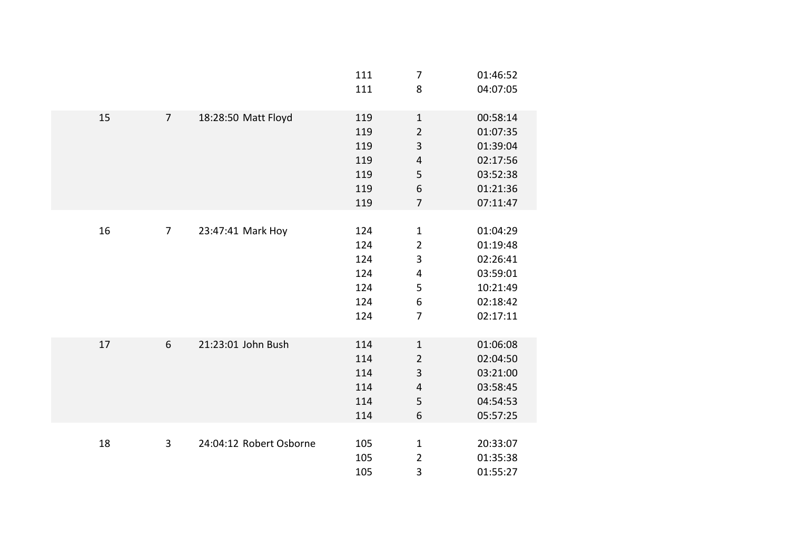|    |                |                         | 111<br>111                                    | $\overline{7}$<br>8                                                                       | 01:46:52<br>04:07:05                                                             |
|----|----------------|-------------------------|-----------------------------------------------|-------------------------------------------------------------------------------------------|----------------------------------------------------------------------------------|
| 15 | $\overline{7}$ | 18:28:50 Matt Floyd     | 119<br>119<br>119<br>119<br>119<br>119<br>119 | $\mathbf 1$<br>$\overline{2}$<br>3<br>$\overline{\mathbf{4}}$<br>5<br>6<br>$\overline{7}$ | 00:58:14<br>01:07:35<br>01:39:04<br>02:17:56<br>03:52:38<br>01:21:36<br>07:11:47 |
| 16 | $\overline{7}$ | 23:47:41 Mark Hoy       | 124<br>124<br>124<br>124<br>124<br>124<br>124 | $\mathbf{1}$<br>$\overline{2}$<br>3<br>4<br>5<br>6<br>$\overline{7}$                      | 01:04:29<br>01:19:48<br>02:26:41<br>03:59:01<br>10:21:49<br>02:18:42<br>02:17:11 |
| 17 | 6              | 21:23:01 John Bush      | 114<br>114<br>114<br>114<br>114<br>114        | $\mathbf{1}$<br>$\overline{2}$<br>3<br>$\overline{\mathbf{4}}$<br>5<br>6                  | 01:06:08<br>02:04:50<br>03:21:00<br>03:58:45<br>04:54:53<br>05:57:25             |
| 18 | $\mathbf{3}$   | 24:04:12 Robert Osborne | 105<br>105<br>105                             | $\mathbf{1}$<br>$\overline{2}$<br>3                                                       | 20:33:07<br>01:35:38<br>01:55:27                                                 |